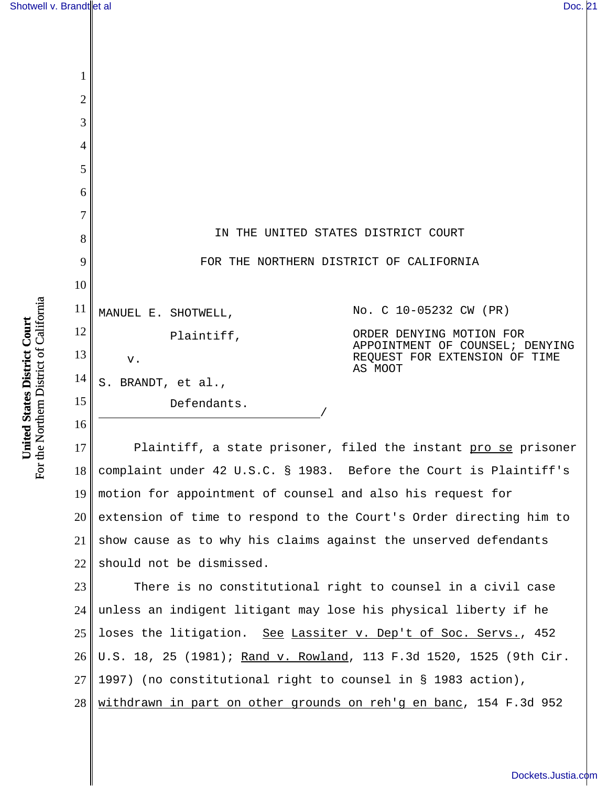| 1<br>$\overline{2}$                                                      |                                 |
|--------------------------------------------------------------------------|---------------------------------|
|                                                                          |                                 |
|                                                                          |                                 |
| 3                                                                        |                                 |
| $\overline{4}$                                                           |                                 |
| 5                                                                        |                                 |
| 6                                                                        |                                 |
| 7                                                                        |                                 |
| IN THE UNITED STATES DISTRICT COURT<br>8                                 |                                 |
| 9<br>FOR THE NORTHERN DISTRICT OF CALIFORNIA                             |                                 |
| 10                                                                       |                                 |
| 11<br>No. C 10-05232 CW (PR)<br>MANUEL E. SHOTWELL,                      |                                 |
| 12<br>ORDER DENYING MOTION FOR<br>Plaintiff,                             | APPOINTMENT OF COUNSEL; DENYING |
| 13<br>v.<br>AS MOOT                                                      | REQUEST FOR EXTENSION OF TIME   |
| 14<br>S. BRANDT, et al.,                                                 |                                 |
| 15<br>Defendants.                                                        |                                 |
| 16                                                                       |                                 |
| 17<br>Plaintiff, a state prisoner, filed the instant pro se prisoner     |                                 |
| complaint under 42 U.S.C. § 1983. Before the Court is Plaintiff's<br>18  |                                 |
| motion for appointment of counsel and also his request for<br><u>19</u>  |                                 |
| 20<br>extension of time to respond to the Court's Order directing him to |                                 |
| show cause as to why his claims against the unserved defendants<br>21    |                                 |
| 22<br>should not be dismissed.                                           |                                 |
| 23<br>There is no constitutional right to counsel in a civil case        |                                 |
| unless an indigent litigant may lose his physical liberty if he<br>24    |                                 |
| 25<br>loses the litigation. See Lassiter v. Dep't of Soc. Servs., 452    |                                 |
| U.S. 18, 25 (1981); Rand v. Rowland, 113 F.3d 1520, 1525 (9th Cir.<br>26 |                                 |
| 27<br>1997) (no constitutional right to counsel in § 1983 action),       |                                 |
| 28<br>withdrawn in part on other grounds on reh'g en banc, 154 F.3d 952  |                                 |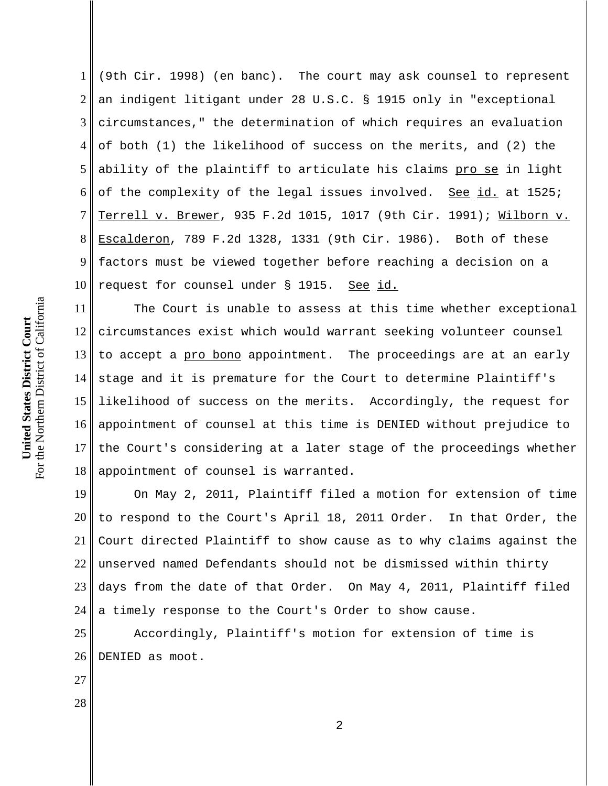6 7 8 9 10 For the Northern District of California For the Northern District of California 11 United States District Court **United States District Court** 12 13 14 15 16

1 2 3 4 5 (9th Cir. 1998) (en banc). The court may ask counsel to represent an indigent litigant under 28 U.S.C. § 1915 only in "exceptional circumstances," the determination of which requires an evaluation of both (1) the likelihood of success on the merits, and (2) the ability of the plaintiff to articulate his claims pro se in light of the complexity of the legal issues involved. See id. at 1525; Terrell v. Brewer, 935 F.2d 1015, 1017 (9th Cir. 1991); Wilborn v. Escalderon, 789 F.2d 1328, 1331 (9th Cir. 1986). Both of these factors must be viewed together before reaching a decision on a request for counsel under § 1915. See id.

17 18 The Court is unable to assess at this time whether exceptional circumstances exist which would warrant seeking volunteer counsel to accept a pro bono appointment. The proceedings are at an early stage and it is premature for the Court to determine Plaintiff's likelihood of success on the merits. Accordingly, the request for appointment of counsel at this time is DENIED without prejudice to the Court's considering at a later stage of the proceedings whether appointment of counsel is warranted.

19 20 21 22 23 24 On May 2, 2011, Plaintiff filed a motion for extension of time to respond to the Court's April 18, 2011 Order. In that Order, the Court directed Plaintiff to show cause as to why claims against the unserved named Defendants should not be dismissed within thirty days from the date of that Order. On May 4, 2011, Plaintiff filed a timely response to the Court's Order to show cause.

25 26 Accordingly, Plaintiff's motion for extension of time is DENIED as moot.

27

28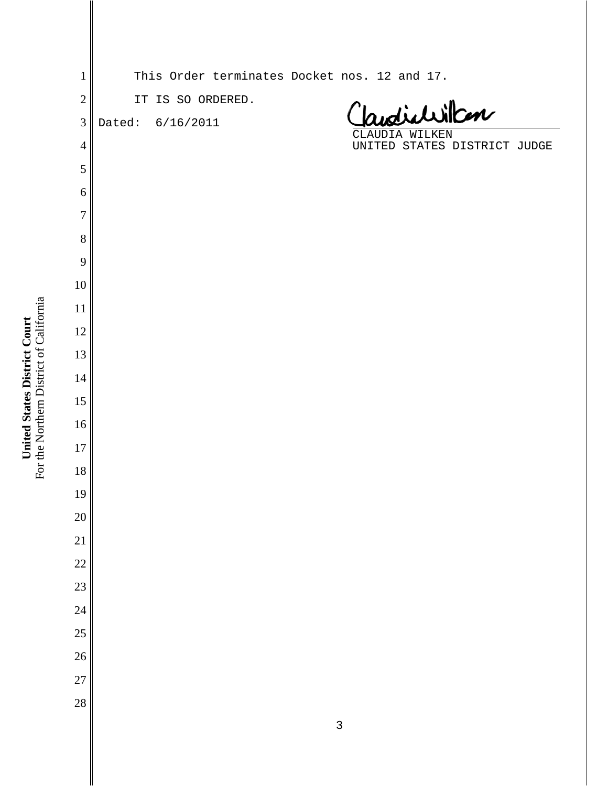| $\mathbf{1}$   | This Order terminates Docket nos. 12 and 17.   |
|----------------|------------------------------------------------|
| $\overline{2}$ | IT IS SO ORDERED.                              |
| 3              | Jandichillan<br>Dated: 6/16/2011               |
| $\overline{4}$ | CLAUDIA WILKEN<br>UNITED STATES DISTRICT JUDGE |
| 5              |                                                |
| 6              |                                                |
| $\overline{7}$ |                                                |
| 8              |                                                |
| 9              |                                                |
| $10\,$         |                                                |
| 11             |                                                |
| 12             |                                                |
| 13             |                                                |
| 14             |                                                |
| 15             |                                                |
| 16             |                                                |
| 17             |                                                |
| 18             |                                                |
| 19             |                                                |
| $20\,$         |                                                |
| 21             |                                                |
| 22             |                                                |
| 23             |                                                |
| 24             |                                                |
| 25             |                                                |
| 26             |                                                |
| 27             |                                                |
| 28             |                                                |
|                |                                                |